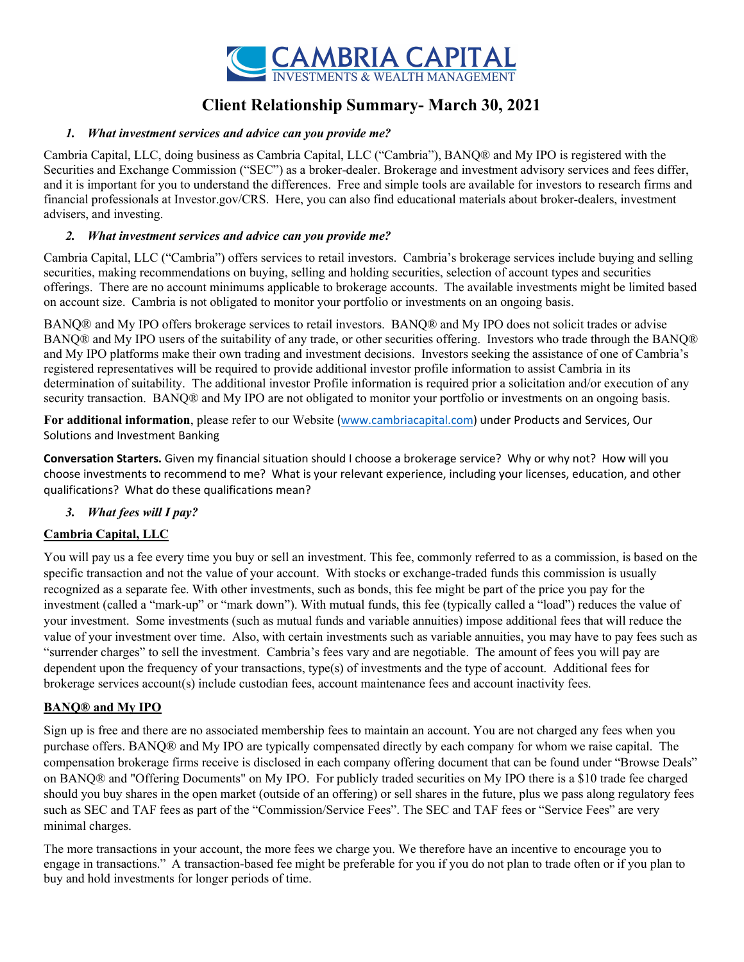

# Client Relationship Summary- March 30, 2021

### 1. What investment services and advice can you provide me?

Cambria Capital, LLC, doing business as Cambria Capital, LLC ("Cambria"), BANQ® and My IPO is registered with the Securities and Exchange Commission ("SEC") as a broker-dealer. Brokerage and investment advisory services and fees differ, and it is important for you to understand the differences. Free and simple tools are available for investors to research firms and financial professionals at Investor.gov/CRS. Here, you can also find educational materials about broker-dealers, investment advisers, and investing.

### 2. What investment services and advice can you provide me?

Cambria Capital, LLC ("Cambria") offers services to retail investors. Cambria's brokerage services include buying and selling securities, making recommendations on buying, selling and holding securities, selection of account types and securities offerings. There are no account minimums applicable to brokerage accounts. The available investments might be limited based on account size. Cambria is not obligated to monitor your portfolio or investments on an ongoing basis.

BANQ® and My IPO offers brokerage services to retail investors. BANQ® and My IPO does not solicit trades or advise BANQ® and My IPO users of the suitability of any trade, or other securities offering. Investors who trade through the BANQ® and My IPO platforms make their own trading and investment decisions. Investors seeking the assistance of one of Cambria's registered representatives will be required to provide additional investor profile information to assist Cambria in its determination of suitability. The additional investor Profile information is required prior a solicitation and/or execution of any security transaction. BANQ® and My IPO are not obligated to monitor your portfolio or investments on an ongoing basis.

For additional information, please refer to our Website (www.cambriacapital.com) under Products and Services, Our Solutions and Investment Banking

Conversation Starters. Given my financial situation should I choose a brokerage service? Why or why not? How will you choose investments to recommend to me? What is your relevant experience, including your licenses, education, and other qualifications? What do these qualifications mean?

3. What fees will I pay?

## Cambria Capital, LLC

You will pay us a fee every time you buy or sell an investment. This fee, commonly referred to as a commission, is based on the specific transaction and not the value of your account. With stocks or exchange-traded funds this commission is usually recognized as a separate fee. With other investments, such as bonds, this fee might be part of the price you pay for the investment (called a "mark-up" or "mark down"). With mutual funds, this fee (typically called a "load") reduces the value of your investment. Some investments (such as mutual funds and variable annuities) impose additional fees that will reduce the value of your investment over time. Also, with certain investments such as variable annuities, you may have to pay fees such as "surrender charges" to sell the investment. Cambria's fees vary and are negotiable. The amount of fees you will pay are dependent upon the frequency of your transactions, type(s) of investments and the type of account. Additional fees for brokerage services account(s) include custodian fees, account maintenance fees and account inactivity fees.

#### BANQ® and My IPO

Sign up is free and there are no associated membership fees to maintain an account. You are not charged any fees when you purchase offers. BANQ® and My IPO are typically compensated directly by each company for whom we raise capital. The compensation brokerage firms receive is disclosed in each company offering document that can be found under "Browse Deals" on BANQ® and "Offering Documents" on My IPO. For publicly traded securities on My IPO there is a \$10 trade fee charged should you buy shares in the open market (outside of an offering) or sell shares in the future, plus we pass along regulatory fees such as SEC and TAF fees as part of the "Commission/Service Fees". The SEC and TAF fees or "Service Fees" are very minimal charges.

The more transactions in your account, the more fees we charge you. We therefore have an incentive to encourage you to engage in transactions." A transaction-based fee might be preferable for you if you do not plan to trade often or if you plan to buy and hold investments for longer periods of time.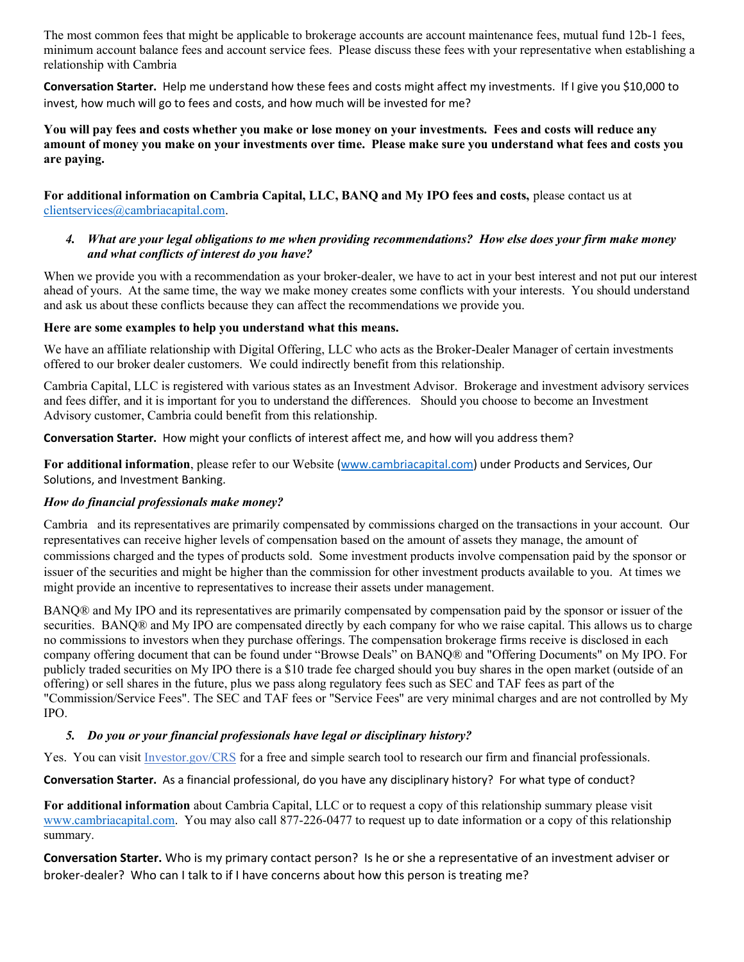The most common fees that might be applicable to brokerage accounts are account maintenance fees, mutual fund 12b-1 fees, minimum account balance fees and account service fees. Please discuss these fees with your representative when establishing a relationship with Cambria

Conversation Starter. Help me understand how these fees and costs might affect my investments. If I give you \$10,000 to invest, how much will go to fees and costs, and how much will be invested for me?

You will pay fees and costs whether you make or lose money on your investments. Fees and costs will reduce any amount of money you make on your investments over time. Please make sure you understand what fees and costs you are paying.

For additional information on Cambria Capital, LLC, BANQ and My IPO fees and costs, please contact us at clientservices@cambriacapital.com.

#### 4. What are your legal obligations to me when providing recommendations? How else does your firm make money and what conflicts of interest do you have?

When we provide you with a recommendation as your broker-dealer, we have to act in your best interest and not put our interest ahead of yours. At the same time, the way we make money creates some conflicts with your interests. You should understand and ask us about these conflicts because they can affect the recommendations we provide you.

#### Here are some examples to help you understand what this means.

We have an affiliate relationship with Digital Offering, LLC who acts as the Broker-Dealer Manager of certain investments offered to our broker dealer customers. We could indirectly benefit from this relationship.

Cambria Capital, LLC is registered with various states as an Investment Advisor. Brokerage and investment advisory services and fees differ, and it is important for you to understand the differences. Should you choose to become an Investment Advisory customer, Cambria could benefit from this relationship.

Conversation Starter. How might your conflicts of interest affect me, and how will you address them?

For additional information, please refer to our Website (www.cambriacapital.com) under Products and Services, Our Solutions, and Investment Banking.

#### How do financial professionals make money?

Cambria and its representatives are primarily compensated by commissions charged on the transactions in your account. Our representatives can receive higher levels of compensation based on the amount of assets they manage, the amount of commissions charged and the types of products sold. Some investment products involve compensation paid by the sponsor or issuer of the securities and might be higher than the commission for other investment products available to you. At times we might provide an incentive to representatives to increase their assets under management.

BANQ® and My IPO and its representatives are primarily compensated by compensation paid by the sponsor or issuer of the securities. BANQ® and My IPO are compensated directly by each company for who we raise capital. This allows us to charge no commissions to investors when they purchase offerings. The compensation brokerage firms receive is disclosed in each company offering document that can be found under "Browse Deals" on BANQ® and "Offering Documents" on My IPO. For publicly traded securities on My IPO there is a \$10 trade fee charged should you buy shares in the open market (outside of an offering) or sell shares in the future, plus we pass along regulatory fees such as SEC and TAF fees as part of the "Commission/Service Fees". The SEC and TAF fees or "Service Fees" are very minimal charges and are not controlled by My IPO.

## 5. Do you or your financial professionals have legal or disciplinary history?

Yes. You can visit Investor.gov/CRS for a free and simple search tool to research our firm and financial professionals.

Conversation Starter. As a financial professional, do you have any disciplinary history? For what type of conduct?

For additional information about Cambria Capital, LLC or to request a copy of this relationship summary please visit www.cambriacapital.com. You may also call 877-226-0477 to request up to date information or a copy of this relationship summary.

Conversation Starter. Who is my primary contact person? Is he or she a representative of an investment adviser or broker-dealer? Who can I talk to if I have concerns about how this person is treating me?